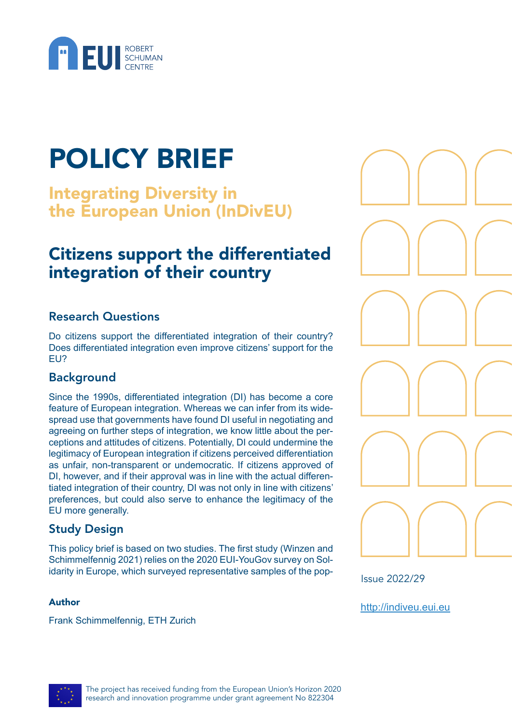

# POLICY BRIEF

Integrating Diversity in the European Union (InDivEU)

## Citizens support the differentiated integration of their country

#### Research Questions

Do citizens support the differentiated integration of their country? Does differentiated integration even improve citizens' support for the EU?

#### Background

Since the 1990s, differentiated integration (DI) has become a core feature of European integration. Whereas we can infer from its widespread use that governments have found DI useful in negotiating and agreeing on further steps of integration, we know little about the perceptions and attitudes of citizens. Potentially, DI could undermine the legitimacy of European integration if citizens perceived differentiation as unfair, non-transparent or undemocratic. If citizens approved of DI, however, and if their approval was in line with the actual differentiated integration of their country, DI was not only in line with citizens' preferences, but could also serve to enhance the legitimacy of the EU more generally.

#### Study Design

This policy brief is based on two studies. The first study (Winzen and Schimmelfennig 2021) relies on the 2020 EUI-YouGov survey on Solidarity in Europe, which surveyed representative samples of the pop-

#### Author

Frank Schimmelfennig, ETH Zurich



Issue 2022/29

<http://indiveu.eui.eu>

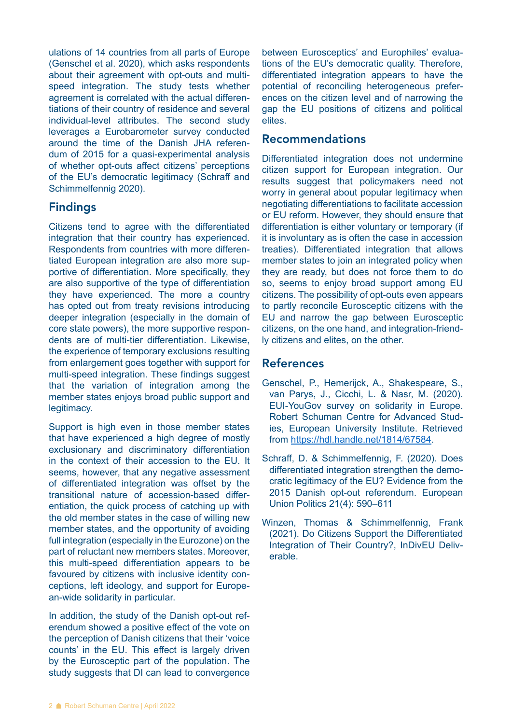ulations of 14 countries from all parts of Europe (Genschel et al. 2020), which asks respondents about their agreement with opt-outs and multispeed integration. The study tests whether agreement is correlated with the actual differentiations of their country of residence and several individual-level attributes. The second study leverages a Eurobarometer survey conducted around the time of the Danish JHA referendum of 2015 for a quasi-experimental analysis of whether opt-outs affect citizens' perceptions of the EU's democratic legitimacy (Schraff and Schimmelfennig 2020).

#### Findings

Citizens tend to agree with the differentiated integration that their country has experienced. Respondents from countries with more differentiated European integration are also more supportive of differentiation. More specifically, they are also supportive of the type of differentiation they have experienced. The more a country has opted out from treaty revisions introducing deeper integration (especially in the domain of core state powers), the more supportive respondents are of multi-tier differentiation. Likewise, the experience of temporary exclusions resulting from enlargement goes together with support for multi-speed integration. These findings suggest that the variation of integration among the member states enjoys broad public support and legitimacy.

Support is high even in those member states that have experienced a high degree of mostly exclusionary and discriminatory differentiation in the context of their accession to the EU. It seems, however, that any negative assessment of differentiated integration was offset by the transitional nature of accession-based differentiation, the quick process of catching up with the old member states in the case of willing new member states, and the opportunity of avoiding full integration (especially in the Eurozone) on the part of reluctant new members states. Moreover, this multi-speed differentiation appears to be favoured by citizens with inclusive identity conceptions, left ideology, and support for European-wide solidarity in particular.

In addition, the study of the Danish opt-out referendum showed a positive effect of the vote on the perception of Danish citizens that their 'voice counts' in the EU. This effect is largely driven by the Eurosceptic part of the population. The study suggests that DI can lead to convergence

between Eurosceptics' and Europhiles' evaluations of the EU's democratic quality. Therefore, differentiated integration appears to have the potential of reconciling heterogeneous preferences on the citizen level and of narrowing the gap the EU positions of citizens and political elites.

#### Recommendations

Differentiated integration does not undermine citizen support for European integration. Our results suggest that policymakers need not worry in general about popular legitimacy when negotiating differentiations to facilitate accession or EU reform. However, they should ensure that differentiation is either voluntary or temporary (if it is involuntary as is often the case in accession treaties). Differentiated integration that allows member states to join an integrated policy when they are ready, but does not force them to do so, seems to enjoy broad support among EU citizens. The possibility of opt-outs even appears to partly reconcile Eurosceptic citizens with the EU and narrow the gap between Eurosceptic citizens, on the one hand, and integration-friendly citizens and elites, on the other.

#### References

- Genschel, P., Hemerijck, A., Shakespeare, S., van Parys, J., Cicchi, L. & Nasr, M. (2020). EUI-YouGov survey on solidarity in Europe. Robert Schuman Centre for Advanced Studies, European University Institute. Retrieved from [https://hdl.handle.net/1814/67584.](https://hdl.handle.net/1814/67584)
- Schraff, D. & Schimmelfennig, F. (2020). Does differentiated integration strengthen the democratic legitimacy of the EU? Evidence from the 2015 Danish opt-out referendum. European Union Politics 21(4): 590–611
- Winzen, Thomas & Schimmelfennig, Frank (2021). Do Citizens Support the Differentiated Integration of Their Country?, InDivEU Deliverable.